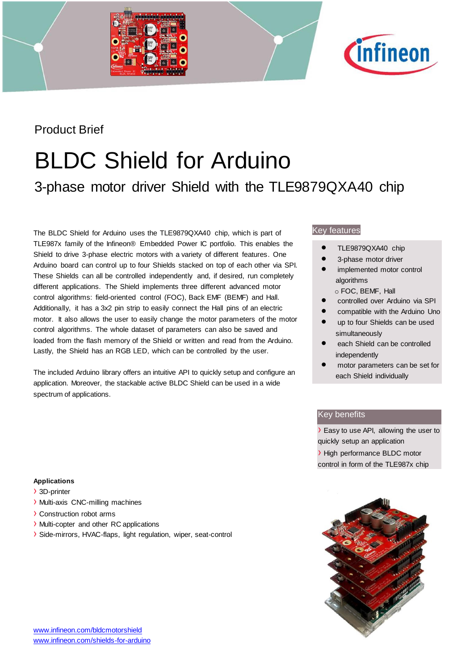



### Product Brief

# BLDC Shield for Arduino

## 3-phase motor driver Shield with the TLE9879QXA40 chip

The BLDC Shield for Arduino uses the TLE9879QXA40 chip, which is part of TLE987x family of the Infineon® Embedded Power IC portfolio. This enables the Shield to drive 3-phase electric motors with a variety of different features. One Arduino board can control up to four Shields stacked on top of each other via SPI. These Shields can all be controlled independently and, if desired, run completely different applications. The Shield implements three different advanced motor control algorithms: field-oriented control (FOC), Back EMF (BEMF) and Hall. Additionally, it has a 3x2 pin strip to easily connect the Hall pins of an electric motor. It also allows the user to easily change the motor parameters of the motor control algorithms. The whole dataset of parameters can also be saved and loaded from the flash memory of the Shield or written and read from the Arduino. Lastly, the Shield has an RGB LED, which can be controlled by the user.

The included Arduino library offers an intuitive API to quickly setup and configure an application. Moreover, the stackable active BLDC Shield can be used in a wide spectrum of applications.

#### Key features

- TLE9879QXA40 chip
- 3-phase motor driver
- implemented motor control algorithms
	- o FOC, BEMF, Hall
- controlled over Arduino via SPI
- compatible with the Arduino Uno
- up to four Shields can be used simultaneously
- each Shield can be controlled independently
- motor parameters can be set for each Shield individually

#### Key benefits

› Easy to use API, allowing the user to quickly setup an application

› High performance BLDC motor control in form of the TLE987x chip



#### **Applications**

- › 3D-printer
- › Multi-axis CNC-milling machines
- › Construction robot arms
- › Multi-copter and other RC applications
- › Side-mirrors, HVAC-flaps, light regulation, wiper, seat-control